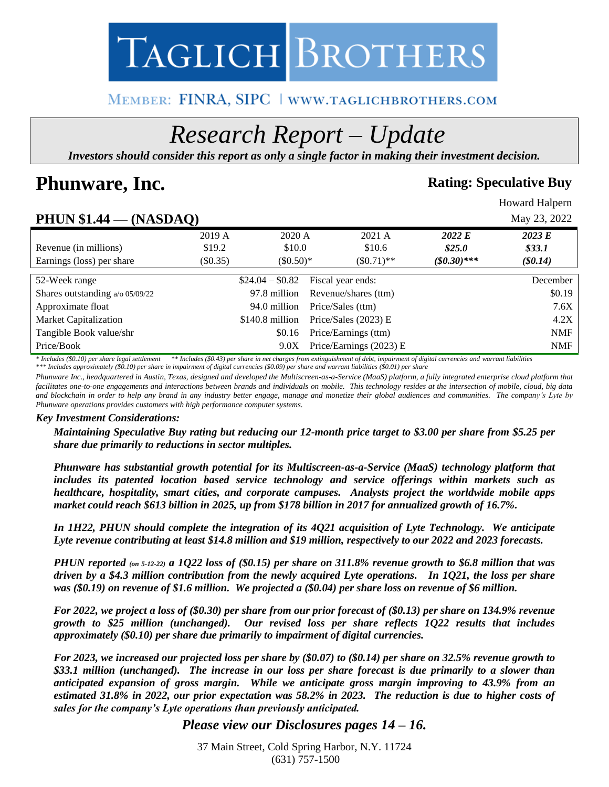

# MEMBER: FINRA, SIPC | www.taglichbrothers.com

# *Research Report – Update*

*Investors should consider this report as only a single factor in making their investment decision.*

# **Phunware, Inc. Rating:** Speculative Buy

Howard Halpern

# **PHUN \$1.44 — (NASDAQ)** May 23, 2022

| - -- - - - - - - - -              | \*`* <del>*</del> ~**** <i>\* \</i> |                  |                         |              |            |
|-----------------------------------|-------------------------------------|------------------|-------------------------|--------------|------------|
|                                   | 2019 A                              | 2020 A           | 2021 A                  | 2022 E       | 2023 E     |
| Revenue (in millions)             | \$19.2                              | \$10.0           | \$10.6                  | \$25.0\$     | \$33.1     |
| Earnings (loss) per share         | (S0.35)                             | $(\$0.50)*$      | $\$0.71$ <sup>**</sup>  | $($0.30)***$ | $(\$0.14)$ |
| 52-Week range                     |                                     | $$24.04 - $0.82$ | Fiscal year ends:       |              | December   |
| Shares outstanding $a/0.05/09/22$ |                                     | 97.8 million     | Revenue/shares (ttm)    |              | \$0.19     |
| Approximate float                 |                                     | 94.0 million     | Price/Sales (ttm)       |              | 7.6X       |
| Market Capitalization             |                                     | $$140.8$ million | Price/Sales $(2023)$ E  |              | 4.2X       |
| Tangible Book value/shr           |                                     | \$0.16           | Price/Earnings (ttm)    |              | <b>NMF</b> |
| Price/Book                        |                                     | 9.0X             | Price/Earnings (2023) E |              | <b>NMF</b> |

*\* Includes (\$0.10) per share legal settlement \*\* Includes (\$0.43) per share in net charges from extinguishment of debt, impairment of digital currencies and warrant liabilities*

*\*\*\* Includes approximately (\$0.10) per share in impairment of digital currencies (\$0.09) per share and warrant liabilities (\$0.01) per share*

*Phunware Inc., headquartered in Austin, Texas, designed and developed the Multiscreen-as-a-Service (MaaS) platform, a fully integrated enterprise cloud platform that*  facilitates one-to-one engagements and interactions between brands and individuals on mobile. This technology resides at the intersection of mobile, cloud, big data *and blockchain in order to help any brand in any industry better engage, manage and monetize their global audiences and communities. The company's Lyte by Phunware operations provides customers with high performance computer systems.*

#### *Key Investment Considerations:*

*Maintaining Speculative Buy rating but reducing our 12-month price target to \$3.00 per share from \$5.25 per share due primarily to reductions in sector multiples.* 

*Phunware has substantial growth potential for its Multiscreen-as-a-Service (MaaS) technology platform that includes its patented location based service technology and service offerings within markets such as healthcare, hospitality, smart cities, and corporate campuses. Analysts project the worldwide mobile apps market could reach \$613 billion in 2025, up from \$178 billion in 2017 for annualized growth of 16.7%.*

*In 1H22, PHUN should complete the integration of its 4Q21 acquisition of Lyte Technology. We anticipate Lyte revenue contributing at least \$14.8 million and \$19 million, respectively to our 2022 and 2023 forecasts.*

*PHUN reported (on 5-12-22) a 1Q22 loss of (\$0.15) per share on 311.8% revenue growth to \$6.8 million that was driven by a \$4.3 million contribution from the newly acquired Lyte operations. In 1Q21, the loss per share was (\$0.19) on revenue of \$1.6 million. We projected a (\$0.04) per share loss on revenue of \$6 million.* 

*For 2022, we project a loss of (\$0.30) per share from our prior forecast of (\$0.13) per share on 134.9% revenue growth to \$25 million (unchanged). Our revised loss per share reflects 1Q22 results that includes approximately (\$0.10) per share due primarily to impairment of digital currencies.*

*For 2023, we increased our projected loss per share by (\$0.07) to (\$0.14) per share on 32.5% revenue growth to \$33.1 million (unchanged). The increase in our loss per share forecast is due primarily to a slower than anticipated expansion of gross margin. While we anticipate gross margin improving to 43.9% from an estimated 31.8% in 2022, our prior expectation was 58.2% in 2023. The reduction is due to higher costs of sales for the company's Lyte operations than previously anticipated.*

# *Please view our Disclosures pages 14 – 16.*

37 Main Street, Cold Spring Harbor, N.Y. 11724 (631) 757-1500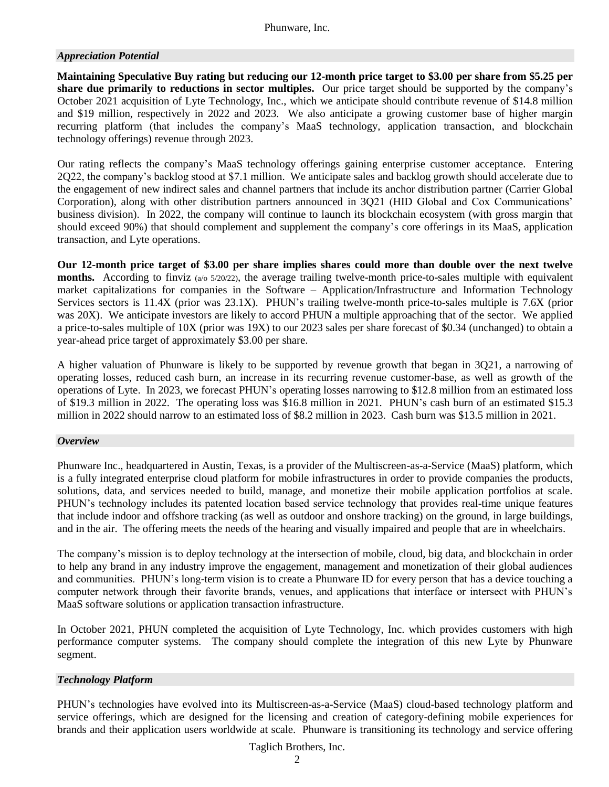# *Appreciation Potential*

**Maintaining Speculative Buy rating but reducing our 12-month price target to \$3.00 per share from \$5.25 per share due primarily to reductions in sector multiples.** Our price target should be supported by the company's October 2021 acquisition of Lyte Technology, Inc., which we anticipate should contribute revenue of \$14.8 million and \$19 million, respectively in 2022 and 2023. We also anticipate a growing customer base of higher margin recurring platform (that includes the company's MaaS technology, application transaction, and blockchain technology offerings) revenue through 2023.

Our rating reflects the company's MaaS technology offerings gaining enterprise customer acceptance. Entering 2Q22, the company's backlog stood at \$7.1 million. We anticipate sales and backlog growth should accelerate due to the engagement of new indirect sales and channel partners that include its anchor distribution partner (Carrier Global Corporation), along with other distribution partners announced in 3Q21 (HID Global and Cox Communications' business division). In 2022, the company will continue to launch its blockchain ecosystem (with gross margin that should exceed 90%) that should complement and supplement the company's core offerings in its MaaS, application transaction, and Lyte operations.

**Our 12-month price target of \$3.00 per share implies shares could more than double over the next twelve months.** According to finviz (a/o 5/20/22), the average trailing twelve-month price-to-sales multiple with equivalent market capitalizations for companies in the Software – Application/Infrastructure and Information Technology Services sectors is 11.4X (prior was 23.1X). PHUN's trailing twelve-month price-to-sales multiple is 7.6X (prior was 20X). We anticipate investors are likely to accord PHUN a multiple approaching that of the sector. We applied a price-to-sales multiple of 10X (prior was 19X) to our 2023 sales per share forecast of \$0.34 (unchanged) to obtain a year-ahead price target of approximately \$3.00 per share.

A higher valuation of Phunware is likely to be supported by revenue growth that began in 3Q21, a narrowing of operating losses, reduced cash burn, an increase in its recurring revenue customer-base, as well as growth of the operations of Lyte. In 2023, we forecast PHUN's operating losses narrowing to \$12.8 million from an estimated loss of \$19.3 million in 2022. The operating loss was \$16.8 million in 2021. PHUN's cash burn of an estimated \$15.3 million in 2022 should narrow to an estimated loss of \$8.2 million in 2023. Cash burn was \$13.5 million in 2021.

#### *Overview*

Phunware Inc., headquartered in Austin, Texas, is a provider of the Multiscreen-as-a-Service (MaaS) platform, which is a fully integrated enterprise cloud platform for mobile infrastructures in order to provide companies the products, solutions, data, and services needed to build, manage, and monetize their mobile application portfolios at scale. PHUN's technology includes its patented location based service technology that provides real-time unique features that include indoor and offshore tracking (as well as outdoor and onshore tracking) on the ground, in large buildings, and in the air. The offering meets the needs of the hearing and visually impaired and people that are in wheelchairs.

The company's mission is to deploy technology at the intersection of mobile, cloud, big data, and blockchain in order to help any brand in any industry improve the engagement, management and monetization of their global audiences and communities. PHUN's long-term vision is to create a Phunware ID for every person that has a device touching a computer network through their favorite brands, venues, and applications that interface or intersect with PHUN's MaaS software solutions or application transaction infrastructure.

In October 2021, PHUN completed the acquisition of Lyte Technology, Inc. which provides customers with high performance computer systems. The company should complete the integration of this new Lyte by Phunware segment.

#### *Technology Platform*

PHUN's technologies have evolved into its Multiscreen-as-a-Service (MaaS) cloud-based technology platform and service offerings, which are designed for the licensing and creation of category-defining mobile experiences for brands and their application users worldwide at scale. Phunware is transitioning its technology and service offering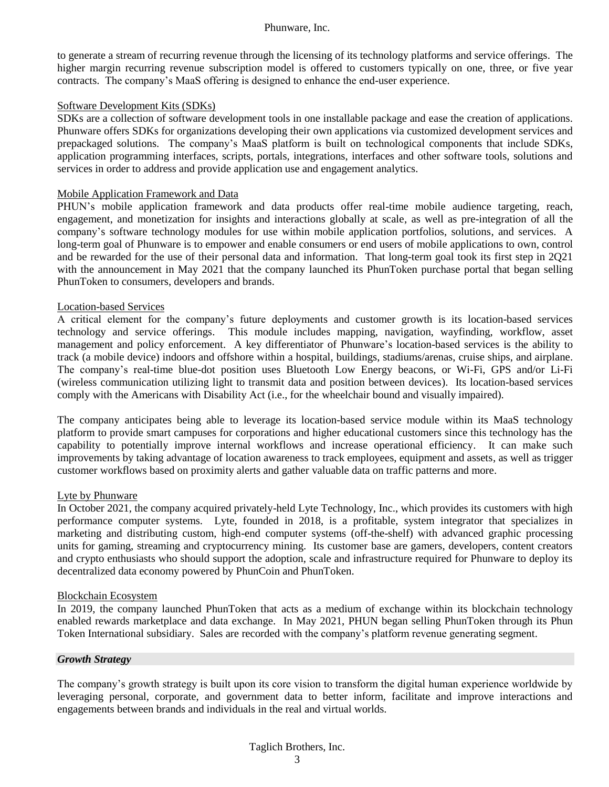to generate a stream of recurring revenue through the licensing of its technology platforms and service offerings. The higher margin recurring revenue subscription model is offered to customers typically on one, three, or five year contracts. The company's MaaS offering is designed to enhance the end-user experience.

#### Software Development Kits (SDKs)

SDKs are a collection of software development tools in one installable package and ease the creation of applications. Phunware offers SDKs for organizations developing their own applications via customized development services and prepackaged solutions. The company's MaaS platform is built on technological components that include SDKs, application programming interfaces, scripts, portals, integrations, interfaces and other software tools, solutions and services in order to address and provide application use and engagement analytics.

#### Mobile Application Framework and Data

PHUN's mobile application framework and data products offer real-time mobile audience targeting, reach, engagement, and monetization for insights and interactions globally at scale, as well as pre-integration of all the company's software technology modules for use within mobile application portfolios, solutions, and services. A long-term goal of Phunware is to empower and enable consumers or end users of mobile applications to own, control and be rewarded for the use of their personal data and information. That long-term goal took its first step in 2Q21 with the announcement in May 2021 that the company launched its PhunToken purchase portal that began selling PhunToken to consumers, developers and brands.

#### Location-based Services

A critical element for the company's future deployments and customer growth is its location-based services technology and service offerings. This module includes mapping, navigation, wayfinding, workflow, asset management and policy enforcement. A key differentiator of Phunware's location-based services is the ability to track (a mobile device) indoors and offshore within a hospital, buildings, stadiums/arenas, cruise ships, and airplane. The company's real-time blue-dot position uses Bluetooth Low Energy beacons, or Wi-Fi, GPS and/or Li-Fi (wireless communication utilizing light to transmit data and position between devices). Its location-based services comply with the Americans with Disability Act (i.e., for the wheelchair bound and visually impaired).

The company anticipates being able to leverage its location-based service module within its MaaS technology platform to provide smart campuses for corporations and higher educational customers since this technology has the capability to potentially improve internal workflows and increase operational efficiency. It can make such improvements by taking advantage of location awareness to track employees, equipment and assets, as well as trigger customer workflows based on proximity alerts and gather valuable data on traffic patterns and more.

#### Lyte by Phunware

In October 2021, the company acquired privately-held Lyte Technology, Inc., which provides its customers with high performance computer systems. Lyte, founded in 2018, is a profitable, system integrator that specializes in marketing and distributing custom, high-end computer systems (off-the-shelf) with advanced graphic processing units for gaming, streaming and cryptocurrency mining. Its customer base are gamers, developers, content creators and crypto enthusiasts who should support the adoption, scale and infrastructure required for Phunware to deploy its decentralized data economy powered by PhunCoin and PhunToken.

#### Blockchain Ecosystem

In 2019, the company launched PhunToken that acts as a medium of exchange within its blockchain technology enabled rewards marketplace and data exchange. In May 2021, PHUN began selling PhunToken through its Phun Token International subsidiary. Sales are recorded with the company's platform revenue generating segment.

#### *Growth Strategy*

The company's growth strategy is built upon its core vision to transform the digital human experience worldwide by leveraging personal, corporate, and government data to better inform, facilitate and improve interactions and engagements between brands and individuals in the real and virtual worlds.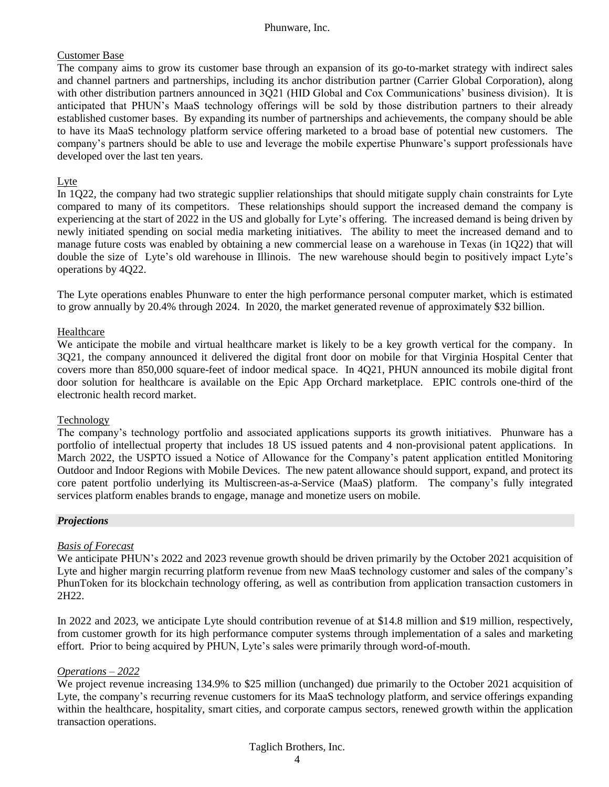# Customer Base

The company aims to grow its customer base through an expansion of its go-to-market strategy with indirect sales and channel partners and partnerships, including its anchor distribution partner (Carrier Global Corporation), along with other distribution partners announced in 3Q21 (HID Global and Cox Communications' business division). It is anticipated that PHUN's MaaS technology offerings will be sold by those distribution partners to their already established customer bases. By expanding its number of partnerships and achievements, the company should be able to have its MaaS technology platform service offering marketed to a broad base of potential new customers. The company's partners should be able to use and leverage the mobile expertise Phunware's support professionals have developed over the last ten years.

### Lyte

In 1Q22, the company had two strategic supplier relationships that should mitigate supply chain constraints for Lyte compared to many of its competitors. These relationships should support the increased demand the company is experiencing at the start of 2022 in the US and globally for Lyte's offering. The increased demand is being driven by newly initiated spending on social media marketing initiatives. The ability to meet the increased demand and to manage future costs was enabled by obtaining a new commercial lease on a warehouse in Texas (in 1Q22) that will double the size of Lyte's old warehouse in Illinois. The new warehouse should begin to positively impact Lyte's operations by 4Q22.

The Lyte operations enables Phunware to enter the high performance personal computer market, which is estimated to grow annually by 20.4% through 2024. In 2020, the market generated revenue of approximately \$32 billion.

# Healthcare

We anticipate the mobile and virtual healthcare market is likely to be a key growth vertical for the company. In 3Q21, the company announced it delivered the digital front door on mobile for that Virginia Hospital Center that covers more than 850,000 square-feet of indoor medical space. In 4Q21, PHUN announced its mobile digital front door solution for healthcare is available on the Epic App Orchard marketplace. EPIC controls one-third of the electronic health record market.

#### Technology

The company's technology portfolio and associated applications supports its growth initiatives. Phunware has a portfolio of intellectual property that includes 18 US issued patents and 4 non-provisional patent applications. In March 2022, the USPTO issued a Notice of Allowance for the Company's patent application entitled Monitoring Outdoor and Indoor Regions with Mobile Devices. The new patent allowance should support, expand, and protect its core patent portfolio underlying its Multiscreen-as-a-Service (MaaS) platform. The company's fully integrated services platform enables brands to engage, manage and monetize users on mobile.

#### *Projections*

# *Basis of Forecast*

We anticipate PHUN's 2022 and 2023 revenue growth should be driven primarily by the October 2021 acquisition of Lyte and higher margin recurring platform revenue from new MaaS technology customer and sales of the company's PhunToken for its blockchain technology offering, as well as contribution from application transaction customers in 2H22.

In 2022 and 2023, we anticipate Lyte should contribution revenue of at \$14.8 million and \$19 million, respectively, from customer growth for its high performance computer systems through implementation of a sales and marketing effort. Prior to being acquired by PHUN, Lyte's sales were primarily through word-of-mouth.

#### *Operations – 2022*

We project revenue increasing 134.9% to \$25 million (unchanged) due primarily to the October 2021 acquisition of Lyte, the company's recurring revenue customers for its MaaS technology platform, and service offerings expanding within the healthcare, hospitality, smart cities, and corporate campus sectors, renewed growth within the application transaction operations.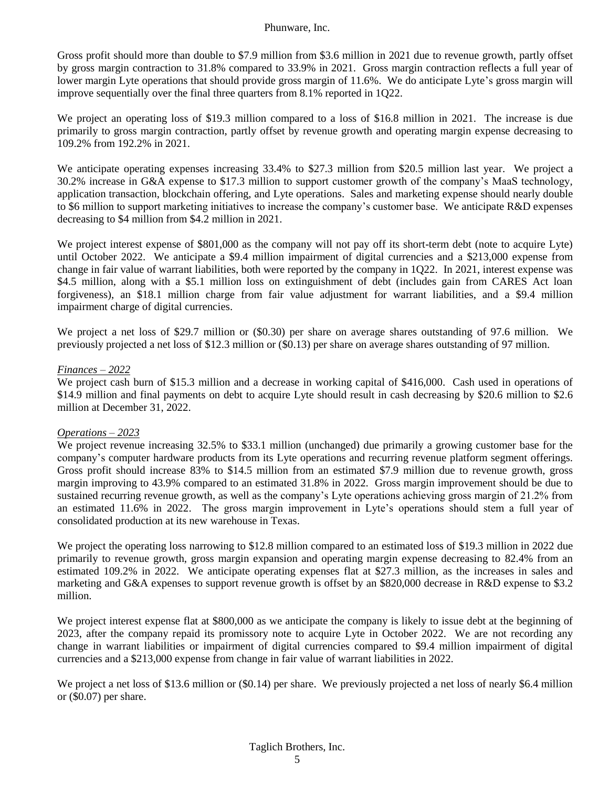Gross profit should more than double to \$7.9 million from \$3.6 million in 2021 due to revenue growth, partly offset by gross margin contraction to 31.8% compared to 33.9% in 2021. Gross margin contraction reflects a full year of lower margin Lyte operations that should provide gross margin of 11.6%. We do anticipate Lyte's gross margin will improve sequentially over the final three quarters from 8.1% reported in 1Q22.

We project an operating loss of \$19.3 million compared to a loss of \$16.8 million in 2021. The increase is due primarily to gross margin contraction, partly offset by revenue growth and operating margin expense decreasing to 109.2% from 192.2% in 2021.

We anticipate operating expenses increasing 33.4% to \$27.3 million from \$20.5 million last year. We project a 30.2% increase in G&A expense to \$17.3 million to support customer growth of the company's MaaS technology, application transaction, blockchain offering, and Lyte operations. Sales and marketing expense should nearly double to \$6 million to support marketing initiatives to increase the company's customer base. We anticipate R&D expenses decreasing to \$4 million from \$4.2 million in 2021.

We project interest expense of \$801,000 as the company will not pay off its short-term debt (note to acquire Lyte) until October 2022. We anticipate a \$9.4 million impairment of digital currencies and a \$213,000 expense from change in fair value of warrant liabilities, both were reported by the company in 1Q22. In 2021, interest expense was \$4.5 million, along with a \$5.1 million loss on extinguishment of debt (includes gain from CARES Act loan forgiveness), an \$18.1 million charge from fair value adjustment for warrant liabilities, and a \$9.4 million impairment charge of digital currencies.

We project a net loss of \$29.7 million or (\$0.30) per share on average shares outstanding of 97.6 million. We previously projected a net loss of \$12.3 million or (\$0.13) per share on average shares outstanding of 97 million.

#### *Finances – 2022*

We project cash burn of \$15.3 million and a decrease in working capital of \$416,000. Cash used in operations of \$14.9 million and final payments on debt to acquire Lyte should result in cash decreasing by \$20.6 million to \$2.6 million at December 31, 2022.

#### *Operations – 2023*

We project revenue increasing 32.5% to \$33.1 million (unchanged) due primarily a growing customer base for the company's computer hardware products from its Lyte operations and recurring revenue platform segment offerings. Gross profit should increase 83% to \$14.5 million from an estimated \$7.9 million due to revenue growth, gross margin improving to 43.9% compared to an estimated 31.8% in 2022. Gross margin improvement should be due to sustained recurring revenue growth, as well as the company's Lyte operations achieving gross margin of 21.2% from an estimated 11.6% in 2022. The gross margin improvement in Lyte's operations should stem a full year of consolidated production at its new warehouse in Texas.

We project the operating loss narrowing to \$12.8 million compared to an estimated loss of \$19.3 million in 2022 due primarily to revenue growth, gross margin expansion and operating margin expense decreasing to 82.4% from an estimated 109.2% in 2022. We anticipate operating expenses flat at \$27.3 million, as the increases in sales and marketing and G&A expenses to support revenue growth is offset by an \$820,000 decrease in R&D expense to \$3.2 million.

We project interest expense flat at \$800,000 as we anticipate the company is likely to issue debt at the beginning of 2023, after the company repaid its promissory note to acquire Lyte in October 2022. We are not recording any change in warrant liabilities or impairment of digital currencies compared to \$9.4 million impairment of digital currencies and a \$213,000 expense from change in fair value of warrant liabilities in 2022.

We project a net loss of \$13.6 million or (\$0.14) per share. We previously projected a net loss of nearly \$6.4 million or (\$0.07) per share.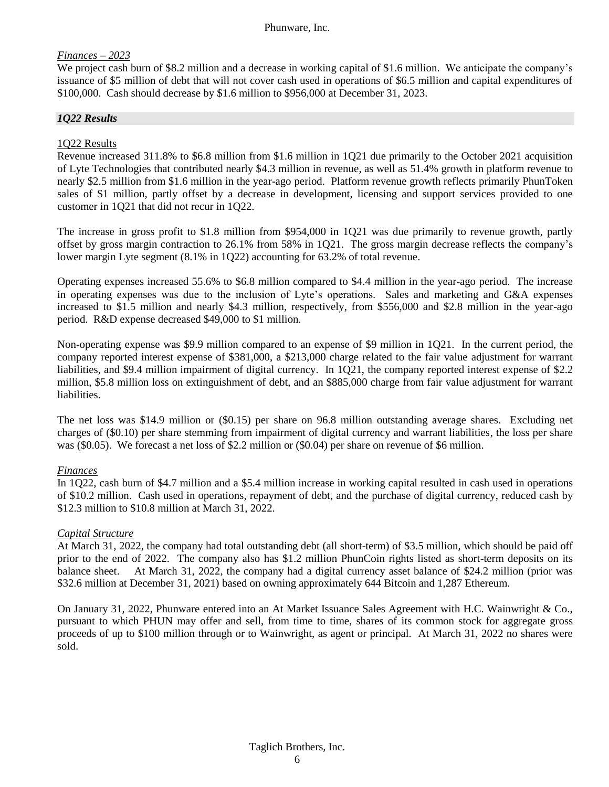# *Finances – 2023*

We project cash burn of \$8.2 million and a decrease in working capital of \$1.6 million. We anticipate the company's issuance of \$5 million of debt that will not cover cash used in operations of \$6.5 million and capital expenditures of \$100,000. Cash should decrease by \$1.6 million to \$956,000 at December 31, 2023.

# *1Q22 Results*

### 1Q22 Results

Revenue increased 311.8% to \$6.8 million from \$1.6 million in 1Q21 due primarily to the October 2021 acquisition of Lyte Technologies that contributed nearly \$4.3 million in revenue, as well as 51.4% growth in platform revenue to nearly \$2.5 million from \$1.6 million in the year-ago period. Platform revenue growth reflects primarily PhunToken sales of \$1 million, partly offset by a decrease in development, licensing and support services provided to one customer in 1Q21 that did not recur in 1Q22.

The increase in gross profit to \$1.8 million from \$954,000 in 1Q21 was due primarily to revenue growth, partly offset by gross margin contraction to 26.1% from 58% in 1Q21. The gross margin decrease reflects the company's lower margin Lyte segment (8.1% in 1Q22) accounting for 63.2% of total revenue.

Operating expenses increased 55.6% to \$6.8 million compared to \$4.4 million in the year-ago period. The increase in operating expenses was due to the inclusion of Lyte's operations. Sales and marketing and G&A expenses increased to \$1.5 million and nearly \$4.3 million, respectively, from \$556,000 and \$2.8 million in the year-ago period. R&D expense decreased \$49,000 to \$1 million.

Non-operating expense was \$9.9 million compared to an expense of \$9 million in 1Q21. In the current period, the company reported interest expense of \$381,000, a \$213,000 charge related to the fair value adjustment for warrant liabilities, and \$9.4 million impairment of digital currency. In 1Q21, the company reported interest expense of \$2.2 million, \$5.8 million loss on extinguishment of debt, and an \$885,000 charge from fair value adjustment for warrant liabilities.

The net loss was \$14.9 million or (\$0.15) per share on 96.8 million outstanding average shares. Excluding net charges of (\$0.10) per share stemming from impairment of digital currency and warrant liabilities, the loss per share was (\$0.05). We forecast a net loss of \$2.2 million or (\$0.04) per share on revenue of \$6 million.

#### *Finances*

In 1Q22, cash burn of \$4.7 million and a \$5.4 million increase in working capital resulted in cash used in operations of \$10.2 million. Cash used in operations, repayment of debt, and the purchase of digital currency, reduced cash by \$12.3 million to \$10.8 million at March 31, 2022.

#### *Capital Structure*

At March 31, 2022, the company had total outstanding debt (all short-term) of \$3.5 million, which should be paid off prior to the end of 2022. The company also has \$1.2 million PhunCoin rights listed as short-term deposits on its balance sheet. At March 31, 2022, the company had a digital currency asset balance of \$24.2 million (prior was \$32.6 million at December 31, 2021) based on owning approximately 644 Bitcoin and 1,287 Ethereum.

On January 31, 2022, Phunware entered into an At Market Issuance Sales Agreement with H.C. Wainwright & Co., pursuant to which PHUN may offer and sell, from time to time, shares of its common stock for aggregate gross proceeds of up to \$100 million through or to Wainwright, as agent or principal. At March 31, 2022 no shares were sold.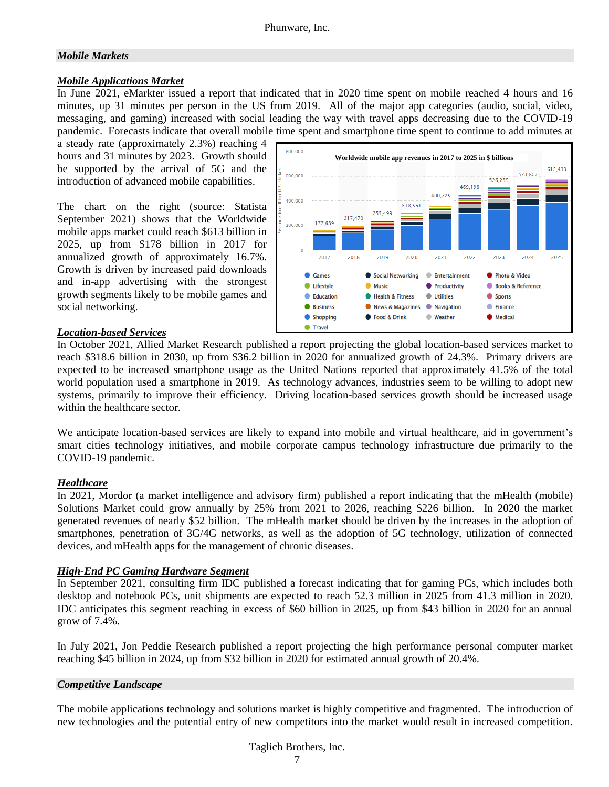# *Mobile Markets*

# *Mobile Applications Market*

In June 2021, eMarkter issued a report that indicated that in 2020 time spent on mobile reached 4 hours and 16 minutes, up 31 minutes per person in the US from 2019. All of the major app categories (audio, social, video, messaging, and gaming) increased with social leading the way with travel apps decreasing due to the COVID-19 pandemic. Forecasts indicate that overall mobile time spent and smartphone time spent to continue to add minutes at

a steady rate (approximately 2.3%) reaching 4 hours and 31 minutes by 2023. Growth should be supported by the arrival of 5G and the introduction of advanced mobile capabilities.

The chart on the right (source: Statista September 2021) shows that the Worldwide mobile apps market could reach \$613 billion in 2025, up from \$178 billion in 2017 for annualized growth of approximately 16.7%. Growth is driven by increased paid downloads and in-app advertising with the strongest growth segments likely to be mobile games and social networking.



# *Location-based Services*

In October 2021, Allied Market Research published a report projecting the global location-based services market to reach \$318.6 billion in 2030, up from \$36.2 billion in 2020 for annualized growth of 24.3%. Primary drivers are expected to be increased smartphone usage as the United Nations reported that approximately 41.5% of the total world population used a smartphone in 2019. As technology advances, industries seem to be willing to adopt new systems, primarily to improve their efficiency. Driving location-based services growth should be increased usage within the healthcare sector.

We anticipate location-based services are likely to expand into mobile and virtual healthcare, aid in government's smart cities technology initiatives, and mobile corporate campus technology infrastructure due primarily to the COVID-19 pandemic.

# *Healthcare*

In 2021, Mordor (a market intelligence and advisory firm) published a report indicating that the mHealth (mobile) Solutions Market could grow annually by 25% from 2021 to 2026, reaching \$226 billion. In 2020 the market generated revenues of nearly \$52 billion. The mHealth market should be driven by the increases in the adoption of smartphones, penetration of 3G/4G networks, as well as the adoption of 5G technology, utilization of connected devices, and mHealth apps for the management of chronic diseases.

# *High-End PC Gaming Hardware Segment*

In September 2021, consulting firm IDC published a forecast indicating that for gaming PCs, which includes both desktop and notebook PCs, unit shipments are expected to reach 52.3 million in 2025 from 41.3 million in 2020. IDC anticipates this segment reaching in excess of \$60 billion in 2025, up from \$43 billion in 2020 for an annual grow of 7.4%.

In July 2021, Jon Peddie Research published a report projecting the high performance personal computer market reaching \$45 billion in 2024, up from \$32 billion in 2020 for estimated annual growth of 20.4%.

# *Competitive Landscape*

The mobile applications technology and solutions market is highly competitive and fragmented. The introduction of new technologies and the potential entry of new competitors into the market would result in increased competition.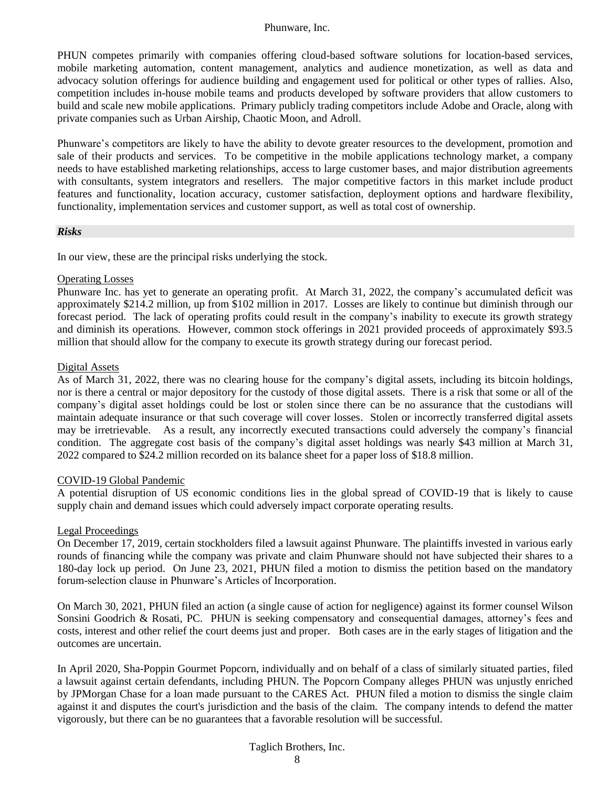PHUN competes primarily with companies offering cloud-based software solutions for location-based services, mobile marketing automation, content management, analytics and audience monetization, as well as data and advocacy solution offerings for audience building and engagement used for political or other types of rallies. Also, competition includes in-house mobile teams and products developed by software providers that allow customers to build and scale new mobile applications. Primary publicly trading competitors include Adobe and Oracle, along with private companies such as Urban Airship, Chaotic Moon, and Adroll.

Phunware's competitors are likely to have the ability to devote greater resources to the development, promotion and sale of their products and services. To be competitive in the mobile applications technology market, a company needs to have established marketing relationships, access to large customer bases, and major distribution agreements with consultants, system integrators and resellers. The major competitive factors in this market include product features and functionality, location accuracy, customer satisfaction, deployment options and hardware flexibility, functionality, implementation services and customer support, as well as total cost of ownership.

#### *Risks*

In our view, these are the principal risks underlying the stock.

#### Operating Losses

Phunware Inc. has yet to generate an operating profit. At March 31, 2022, the company's accumulated deficit was approximately \$214.2 million, up from \$102 million in 2017. Losses are likely to continue but diminish through our forecast period. The lack of operating profits could result in the company's inability to execute its growth strategy and diminish its operations. However, common stock offerings in 2021 provided proceeds of approximately \$93.5 million that should allow for the company to execute its growth strategy during our forecast period.

# Digital Assets

As of March 31, 2022, there was no clearing house for the company's digital assets, including its bitcoin holdings, nor is there a central or major depository for the custody of those digital assets. There is a risk that some or all of the company's digital asset holdings could be lost or stolen since there can be no assurance that the custodians will maintain adequate insurance or that such coverage will cover losses. Stolen or incorrectly transferred digital assets may be irretrievable. As a result, any incorrectly executed transactions could adversely the company's financial condition. The aggregate cost basis of the company's digital asset holdings was nearly \$43 million at March 31, 2022 compared to \$24.2 million recorded on its balance sheet for a paper loss of \$18.8 million.

# COVID-19 Global Pandemic

A potential disruption of US economic conditions lies in the global spread of COVID-19 that is likely to cause supply chain and demand issues which could adversely impact corporate operating results.

#### Legal Proceedings

On December 17, 2019, certain stockholders filed a lawsuit against Phunware. The plaintiffs invested in various early rounds of financing while the company was private and claim Phunware should not have subjected their shares to a 180-day lock up period. On June 23, 2021, PHUN filed a motion to dismiss the petition based on the mandatory forum-selection clause in Phunware's Articles of Incorporation.

On March 30, 2021, PHUN filed an action (a single cause of action for negligence) against its former counsel Wilson Sonsini Goodrich & Rosati, PC. PHUN is seeking compensatory and consequential damages, attorney's fees and costs, interest and other relief the court deems just and proper. Both cases are in the early stages of litigation and the outcomes are uncertain.

In April 2020, Sha-Poppin Gourmet Popcorn, individually and on behalf of a class of similarly situated parties, filed a lawsuit against certain defendants, including PHUN. The Popcorn Company alleges PHUN was unjustly enriched by JPMorgan Chase for a loan made pursuant to the CARES Act. PHUN filed a motion to dismiss the single claim against it and disputes the court's jurisdiction and the basis of the claim. The company intends to defend the matter vigorously, but there can be no guarantees that a favorable resolution will be successful.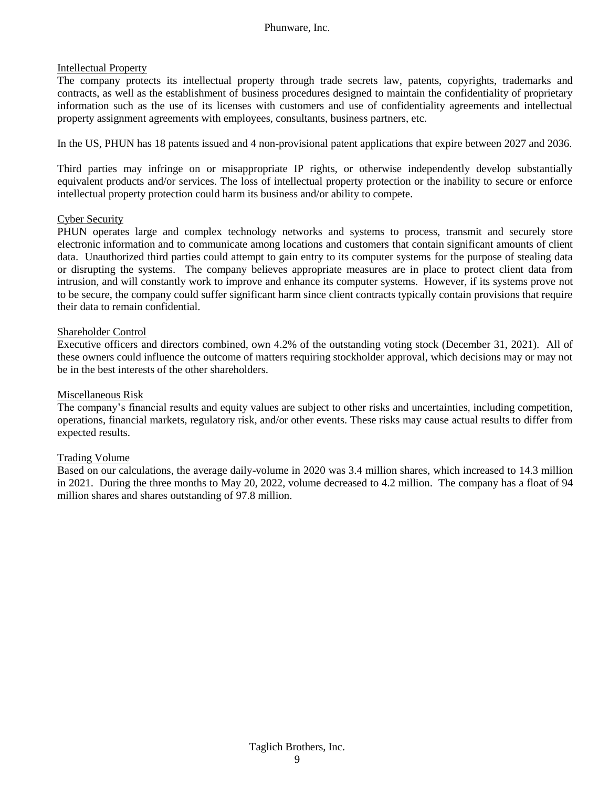#### Intellectual Property

The company protects its intellectual property through trade secrets law, patents, copyrights, trademarks and contracts, as well as the establishment of business procedures designed to maintain the confidentiality of proprietary information such as the use of its licenses with customers and use of confidentiality agreements and intellectual property assignment agreements with employees, consultants, business partners, etc.

In the US, PHUN has 18 patents issued and 4 non-provisional patent applications that expire between 2027 and 2036.

Third parties may infringe on or misappropriate IP rights, or otherwise independently develop substantially equivalent products and/or services. The loss of intellectual property protection or the inability to secure or enforce intellectual property protection could harm its business and/or ability to compete.

#### Cyber Security

PHUN operates large and complex technology networks and systems to process, transmit and securely store electronic information and to communicate among locations and customers that contain significant amounts of client data. Unauthorized third parties could attempt to gain entry to its computer systems for the purpose of stealing data or disrupting the systems. The company believes appropriate measures are in place to protect client data from intrusion, and will constantly work to improve and enhance its computer systems. However, if its systems prove not to be secure, the company could suffer significant harm since client contracts typically contain provisions that require their data to remain confidential.

# Shareholder Control

Executive officers and directors combined, own 4.2% of the outstanding voting stock (December 31, 2021). All of these owners could influence the outcome of matters requiring stockholder approval, which decisions may or may not be in the best interests of the other shareholders.

### Miscellaneous Risk

The company's financial results and equity values are subject to other risks and uncertainties, including competition, operations, financial markets, regulatory risk, and/or other events. These risks may cause actual results to differ from expected results.

# Trading Volume

Based on our calculations, the average daily-volume in 2020 was 3.4 million shares, which increased to 14.3 million in 2021. During the three months to May 20, 2022, volume decreased to 4.2 million. The company has a float of 94 million shares and shares outstanding of 97.8 million.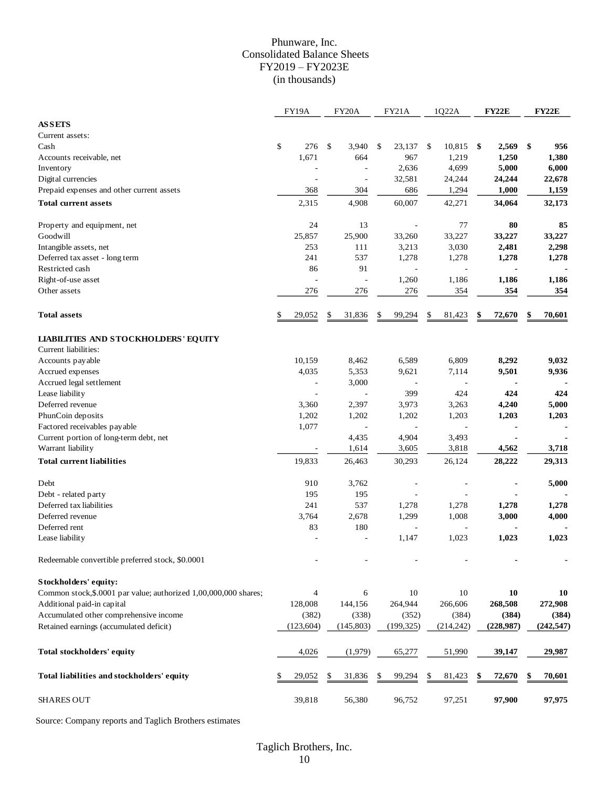# Phunware, Inc. Consolidated Balance Sheets FY2019 – FY2023E (in thousands)

|                                                                  | FY19A                    | FY20A          | <b>FY21A</b>             | 1Q22A        | <b>FY22E</b>  | <b>FY22E</b> |
|------------------------------------------------------------------|--------------------------|----------------|--------------------------|--------------|---------------|--------------|
| <b>ASSETS</b>                                                    |                          |                |                          |              |               |              |
| Current assets:                                                  |                          |                |                          |              |               |              |
| Cash                                                             | \$<br>276                | \$<br>3,940    | 23,137<br>\$             | 10,815<br>\$ | - \$<br>2,569 | \$<br>956    |
| Accounts receivable, net                                         | 1,671                    | 664            | 967                      | 1,219        | 1,250         | 1,380        |
| Inventory                                                        |                          |                | 2,636                    | 4,699        | 5,000         | 6,000        |
| Digital currencies                                               | $\overline{\phantom{a}}$ | $\overline{a}$ | 32,581                   | 24,244       | 24,244        | 22,678       |
| Prepaid expenses and other current assets                        | 368                      | 304            | 686                      | 1,294        | 1,000         | 1,159        |
| <b>Total current assets</b>                                      | 2,315                    | 4,908          | 60,007                   | 42,271       | 34,064        | 32,173       |
|                                                                  |                          |                |                          |              |               |              |
| Property and equipment, net                                      | 24                       | 13             |                          | 77           | 80            | 85           |
| Goodwill                                                         | 25,857                   | 25,900         | 33,260                   | 33,227       | 33,227        | 33,227       |
| Intangible assets, net                                           | 253                      | 111            | 3,213                    | 3,030        | 2,481         | 2,298        |
| Deferred tax asset - long term                                   | 241                      | 537            | 1,278                    | 1,278        | 1,278         | 1,278        |
| Restricted cash                                                  | 86                       | 91             | $\overline{a}$           |              |               |              |
| Right-of-use asset                                               | ÷,                       |                | 1,260                    | 1,186        | 1,186         | 1,186        |
| Other assets                                                     | 276                      | 276            | 276                      | 354          | 354           | 354          |
| <b>Total assets</b>                                              | \$<br>29,052             | 31,836<br>\$   | \$<br>99,294             | \$<br>81,423 | 72,670<br>\$  | 70,601<br>\$ |
|                                                                  |                          |                |                          |              |               |              |
| <b>LIABILITIES AND STOCKHOLDERS' EQUITY</b>                      |                          |                |                          |              |               |              |
| Current liabilities:                                             |                          |                |                          |              |               |              |
| Accounts payable                                                 | 10,159                   | 8,462          | 6,589                    | 6,809        | 8,292         | 9,032        |
| Accrued expenses                                                 | 4,035                    | 5,353          | 9,621                    | 7,114        | 9,501         | 9,936        |
| Accrued legal settlement                                         | ÷,                       | 3,000          | $\overline{a}$           |              |               |              |
| Lease liability                                                  | $\overline{\phantom{a}}$ | ÷,             | 399                      | 424          | 424           | 424          |
| Deferred revenue                                                 | 3,360                    | 2,397          | 3,973                    | 3,263        | 4,240         | 5,000        |
| PhunCoin deposits                                                | 1,202                    | 1,202          | 1,202                    | 1,203        | 1,203         | 1,203        |
| Factored receivables payable                                     | 1,077                    |                |                          |              |               |              |
| Current portion of long-term debt, net                           |                          | 4,435          | 4,904                    | 3,493        |               |              |
| Warrant liability                                                |                          | 1,614          | 3,605                    | 3,818        | 4,562         | 3,718        |
| <b>Total current liabilities</b>                                 | 19,833                   | 26,463         | 30,293                   | 26,124       | 28,222        | 29,313       |
|                                                                  |                          |                |                          |              |               |              |
| Debt                                                             | 910                      | 3,762          | $\overline{\phantom{a}}$ |              |               | 5,000        |
| Debt - related party                                             | 195                      | 195            |                          |              |               |              |
| Deferred tax liabilities                                         | 241                      | 537            | 1,278                    | 1,278        | 1,278         | 1,278        |
| Deferred revenue                                                 | 3,764                    | 2,678          | 1,299                    | 1,008        | 3,000         | 4,000        |
| Deferred rent                                                    | 83                       | 180            | ÷,                       |              |               |              |
| Lease liability                                                  |                          |                | 1,147                    | 1,023        | 1,023         | 1,023        |
| Redeemable convertible preferred stock, \$0.0001                 |                          |                |                          |              |               |              |
|                                                                  |                          |                |                          |              |               |              |
| Stockholders' equity:                                            |                          |                |                          |              |               |              |
| Common stock, \$.0001 par value; authorized 1,00,000,000 shares; | 4                        | 6              | 10                       | 10           | 10            | 10           |
| Additional paid-in capital                                       | 128,008                  | 144,156        | 264,944                  | 266,606      | 268,508       | 272,908      |
| Accumulated other comprehensive income                           | (382)                    | (338)          | (352)                    | (384)        | (384)         | (384)        |
| Retained earnings (accumulated deficit)                          | (123, 604)               | (145, 803)     | (199, 325)               | (214, 242)   | (228,987)     | (242, 547)   |
| Total stockholders' equity                                       | 4,026                    | (1,979)        | 65,277                   | 51,990       | 39,147        | 29,987       |
| Total liabilities and stockholders' equity                       | 29,052<br>\$             | 31,836<br>\$   | 99,294<br>\$             | \$<br>81,423 | 72,670        | 70,601<br>\$ |
| <b>SHARES OUT</b>                                                | 39,818                   | 56,380         | 96,752                   | 97,251       | 97,900        | 97,975       |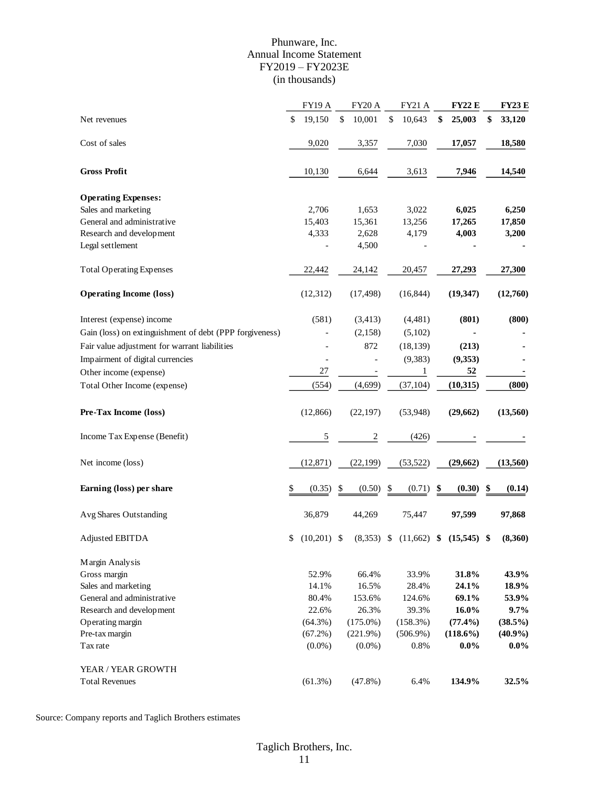# Phunware, Inc. Annual Income Statement FY2019 – FY2023E (in thousands)

|                                                         | FY19 A              | FY20 A         | FY21 A        | <b>FY22 E</b> | <b>FY23 E</b> |
|---------------------------------------------------------|---------------------|----------------|---------------|---------------|---------------|
| Net revenues                                            | \$<br>19,150        | \$<br>10,001   | \$<br>10,643  | \$<br>25,003  | \$<br>33,120  |
| Cost of sales                                           | 9,020               | 3,357          | 7,030         | 17,057        | 18,580        |
|                                                         |                     |                |               |               |               |
| <b>Gross Profit</b>                                     | 10,130              | 6,644          | 3,613         | 7,946         | 14,540        |
| <b>Operating Expenses:</b>                              |                     |                |               |               |               |
| Sales and marketing                                     | 2,706               | 1,653          | 3,022         | 6,025         | 6,250         |
| General and administrative                              | 15,403              | 15,361         | 13,256        | 17,265        | 17,850        |
| Research and development                                | 4,333               | 2,628          | 4,179         | 4,003         | 3,200         |
| Legal settlement                                        |                     | 4,500          |               |               |               |
| <b>Total Operating Expenses</b>                         | 22,442              | 24,142         | 20,457        | 27,293        | 27,300        |
| <b>Operating Income (loss)</b>                          | (12, 312)           | (17, 498)      | (16, 844)     | (19, 347)     | (12,760)      |
| Interest (expense) income                               | (581)               | (3, 413)       | (4, 481)      | (801)         | (800)         |
| Gain (loss) on extinguishment of debt (PPP forgiveness) |                     | (2,158)        | (5,102)       |               |               |
| Fair value adjustment for warrant liabilities           |                     | 872            | (18, 139)     | (213)         |               |
| Impairment of digital currencies                        |                     |                | (9, 383)      | (9, 353)      |               |
| Other income (expense)                                  | 27                  |                | $\mathbf{1}$  | 52            |               |
| Total Other Income (expense)                            | (554)               | (4,699)        | (37, 104)     | (10, 315)     | (800)         |
| Pre-Tax Income (loss)                                   | (12, 866)           | (22, 197)      | (53, 948)     | (29, 662)     | (13,560)      |
| Income Tax Expense (Benefit)                            | 5                   | $\overline{c}$ | (426)         |               |               |
| Net income (loss)                                       | (12, 871)           | (22, 199)      | (53, 522)     | (29, 662)     | (13, 560)     |
| Earning (loss) per share                                | \$<br>(0.35)        | \$<br>(0.50)   | \$<br>(0.71)  | \$<br>(0.30)  | \$<br>(0.14)  |
| Avg Shares Outstanding                                  | 36,879              | 44,269         | 75,447        | 97,599        | 97,868        |
| Adjusted EBITDA                                         | \$<br>$(10,201)$ \$ | $(8,353)$ \$   | $(11,662)$ \$ | $(15,545)$ \$ | (8,360)       |
| Margin Analysis                                         |                     |                |               |               |               |
| Gross margin                                            | 52.9%               | 66.4%          | 33.9%         | 31.8%         | 43.9%         |
| Sales and marketing                                     | 14.1%               | 16.5%          | 28.4%         | 24.1%         | 18.9%         |
| General and administrative                              | 80.4%               | 153.6%         | 124.6%        | 69.1%         | 53.9%         |
| Research and development                                | 22.6%               | 26.3%          | 39.3%         | 16.0%         | 9.7%          |
| Operating margin                                        | $(64.3\%)$          | $(175.0\%)$    | (158.3%)      | $(77.4\%)$    | (38.5%)       |
| Pre-tax margin                                          | $(67.2\%)$          | (221.9%)       | $(506.9\%)$   | $(118.6\%)$   | $(40.9\%)$    |
| Tax rate                                                | $(0.0\%)$           | $(0.0\%)$      | 0.8%          | $0.0\%$       | $0.0\%$       |
| YEAR / YEAR GROWTH                                      |                     |                |               |               |               |
| <b>Total Revenues</b>                                   | (61.3%)             | $(47.8\%)$     | 6.4%          | 134.9%        | 32.5%         |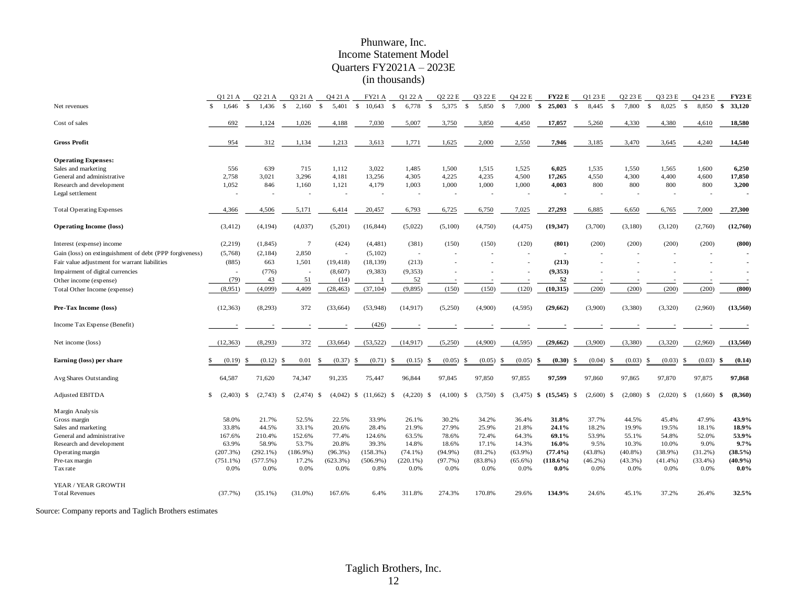# Phunware, Inc. Income Statement Model Quarters FY2021A – 2023E (in thousands)

|                                                         | Q1 21 A                  | Q2 21 A              | Q3 21 A                  | Q4 21 A                       | <b>FY21 A</b>            | Q1 22 A              | Q2 22 E                  | Q3 22 E                  | Q4 22 E                   | <b>FY22 E</b>            | Q1 23 E                     | Q2 23 E                  | Q3 23 E                       | Q4 23 E                  | <b>FY23E</b>             |
|---------------------------------------------------------|--------------------------|----------------------|--------------------------|-------------------------------|--------------------------|----------------------|--------------------------|--------------------------|---------------------------|--------------------------|-----------------------------|--------------------------|-------------------------------|--------------------------|--------------------------|
| Net revenues                                            | $\mathbf{s}$<br>1,646    | $\mathbf S$<br>1.436 | $\mathbf{s}$<br>2.160    | $\mathbf{s}$<br>5.401         | <sup>\$</sup><br>10.643  | $\mathbf S$<br>6,778 | <sup>\$</sup><br>5,375   | - \$<br>5,850            | $\mathbf{s}$<br>7,000     | \$<br>25,003             | $\mathbf{\hat{s}}$<br>8.445 | <sup>\$</sup><br>7,800   | $\mathcal{S}$<br>8.025        | $\mathbf{s}$<br>8.850    | 33,120<br>\$             |
| Cost of sales                                           | 692                      | 1,124                | 1,026                    | 4,188                         | 7,030                    | 5,007                | 3,750                    | 3,850                    | 4,450                     | 17,057                   | 5,260                       | 4,330                    | 4,380                         | 4,610                    | 18,580                   |
| <b>Gross Profit</b>                                     | 954                      | 312                  | 1,134                    | 1,213                         | 3,613                    | 1,771                | 1,625                    | 2,000                    | 2,550                     | 7,946                    | 3,185                       | 3,470                    | 3,645                         | 4,240                    | 14,540                   |
| <b>Operating Expenses:</b>                              |                          |                      |                          |                               |                          |                      |                          |                          |                           |                          |                             |                          |                               |                          |                          |
| Sales and marketing                                     | 556                      | 639                  | 715                      | 1,112                         | 3,022                    | 1,485                | 1,500                    | 1,515                    | 1,525                     | 6,025                    | 1,535                       | 1,550                    | 1,565                         | 1,600                    | 6,250                    |
| General and administrative                              | 2,758                    | 3,021                | 3,296                    | 4,181                         | 13,256                   | 4,305                | 4,225                    | 4,235                    | 4,500                     | 17,265                   | 4,550                       | 4,300                    | 4,400                         | 4,600                    | 17,850                   |
| Research and development                                | 1,052                    | 846                  | 1,160                    | 1,121<br>$\overline{a}$       | 4,179                    | 1,003                | 1,000                    | 1,000                    | 1,000                     | 4,003                    | 800                         | 800                      | 800                           | 800                      | 3,200                    |
| Legal settlement                                        | $\overline{\phantom{a}}$ |                      | ÷                        |                               | $\overline{\phantom{a}}$ | ÷                    | $\overline{\phantom{a}}$ | $\overline{\phantom{a}}$ |                           | $\overline{\phantom{a}}$ | $\overline{\phantom{a}}$    | $\overline{\phantom{a}}$ | $\overline{\phantom{a}}$      | $\overline{\phantom{a}}$ | $\overline{\phantom{a}}$ |
| <b>Total Operating Expenses</b>                         | 4,366                    | 4,506                | 5,171                    | 6,414                         | 20,457                   | 6,793                | 6,725                    | 6,750                    | 7,025                     | 27,293                   | 6,885                       | 6,650                    | 6,765                         | 7,000                    | 27,300                   |
| <b>Operating Income (loss)</b>                          | (3, 412)                 | (4, 194)             | (4,037)                  | (5,201)                       | (16, 844)                | (5,022)              | (5,100)                  | (4,750)                  | (4, 475)                  | (19, 347)                | (3,700)                     | (3,180)                  | (3,120)                       | (2,760)                  | (12,760)                 |
| Interest (expense) income                               | (2,219)                  | (1, 845)             | $\overline{7}$           | (424)                         | (4,481)                  | (381)                | (150)                    | (150)                    | (120)                     | (801)                    | (200)                       | (200)                    | (200)                         | (200)                    | (800)                    |
| Gain (loss) on extinguishment of debt (PPP forgiveness) | (5,768)                  | (2,184)              | 2,850                    | $\overline{\phantom{a}}$      | (5,102)                  | $\sim$               |                          |                          |                           | $\overline{\phantom{a}}$ |                             |                          |                               | $\sim$                   |                          |
| Fair value adjustment for warrant liabilities           | (885)                    | 663                  | 1,501                    | (19, 418)                     | (18, 139)                | (213)                |                          |                          |                           | (213)                    |                             |                          |                               |                          |                          |
| Impairment of digital currencies                        | $\overline{a}$           | (776)                | $\overline{\phantom{a}}$ | (8,607)                       | (9, 383)                 | (9, 353)             |                          |                          |                           | (9, 353)                 |                             |                          |                               |                          |                          |
| Other income (expense)                                  | (79)                     | 43                   | 51                       | (14)                          |                          | 52                   |                          |                          |                           | 52                       |                             |                          |                               |                          |                          |
| Total Other Income (expense)                            | (8,951)                  | (4,099)              | 4,409                    | (28, 463)                     | (37, 104)                | (9, 895)             | (150)                    | (150)                    | (120)                     | (10, 315)                | (200)                       | (200)                    | (200)                         | (200)                    | (800)                    |
| Pre-Tax Income (loss)                                   | (12, 363)                | (8,293)              | 372                      | (33, 664)                     | (53,948)                 | (14, 917)            | (5,250)                  | (4,900)                  | (4,595)                   | (29,662)                 | (3,900)                     | (3,380)                  | (3,320)                       | (2,960)                  | (13,560)                 |
| Income Tax Expense (Benefit)                            |                          |                      |                          |                               | (426)                    |                      |                          |                          |                           |                          |                             |                          |                               |                          |                          |
| Net income (loss)                                       | (12, 363)                | (8,293)              | 372                      | (33, 664)                     | (53, 522)                | (14, 917)            | (5,250)                  | (4,900)                  | (4,595)                   | (29, 662)                | (3,900)                     | (3,380)                  | (3,320)                       | (2,960)                  | (13,560)                 |
| Earning (loss) per share                                | (0.19)                   | (0.12)<br>£.         | 0.01                     | (0.37)                        | (0.71)<br><b>S</b>       | (0.15)<br>-S         | (0.05)<br>-S             | (0.05)<br>- \$           | (0.05)<br>-S              | (0.30)<br>\$             | (0.04)<br>£.                | (0.03)<br>- \$           | (0.03)                        | (0.03)<br>-\$            | (0.14)<br>\$             |
| Avg Shares Outstanding                                  | 64,587                   | 71,620               | 74,347                   | 91,235                        | 75,447                   | 96,844               | 97,845                   | 97,850                   | 97,855                    | 97,599                   | 97,860                      | 97,865                   | 97,870                        | 97,875                   | 97,868                   |
| <b>Adjusted EBITDA</b>                                  | \$ (2,403) \$            | (2,743)              | (2, 474)<br>-S           | $(4,042)$ \$<br><sup>\$</sup> | (11,662)                 | (4,220)<br>-S        | (4,100)<br>- \$          | -S<br>(3,750)            | (3, 475)<br><sup>\$</sup> | $(15,545)$ \$<br>-\$     | (2,600)                     | (2,080)<br>-S            | $(2,020)$ \$<br><sup>\$</sup> | (1,660)                  | (8,360)<br>\$            |
| Margin Analysis                                         |                          |                      |                          |                               |                          |                      |                          |                          |                           |                          |                             |                          |                               |                          |                          |
| Gross margin                                            | 58.0%                    | 21.7%                | 52.5%                    | 22.5%                         | 33.9%                    | 26.1%                | 30.2%                    | 34.2%                    | 36.4%                     | 31.8%                    | 37.7%                       | 44.5%                    | 45.4%                         | 47.9%                    | 43.9%                    |
| Sales and marketing                                     | 33.8%                    | 44.5%                | 33.1%                    | 20.6%                         | 28.4%                    | 21.9%                | 27.9%                    | 25.9%                    | 21.8%                     | 24.1%                    | 18.2%                       | 19.9%                    | 19.5%                         | 18.1%                    | 18.9%                    |
| General and administrative                              | 167.6%                   | 210.4%               | 152.6%                   | 77.4%                         | 124.6%                   | 63.5%                | 78.6%                    | 72.4%                    | 64.3%                     | 69.1%                    | 53.9%                       | 55.1%                    | 54.8%                         | 52.0%                    | 53.9%                    |
| Research and development                                | 63.9%                    | 58.9%                | 53.7%                    | 20.8%                         | 39.3%                    | 14.8%                | 18.6%                    | 17.1%                    | 14.3%                     | 16.0%                    | 9.5%                        | 10.3%                    | 10.0%                         | 9.0%                     | 9.7%                     |
| Operating margin                                        | (207.3%)                 | $(292.1\%)$          | (186.9%)                 | $(96.3\%)$                    | $(158.3\%)$              | $(74.1\%)$           | $(94.9\%)$               | $(81.2\%)$               | $(63.9\%)$                | (77.4%)                  | $(43.8\%)$                  | $(40.8\%)$               | $(38.9\%)$                    | $(31.2\%)$               | (38.5%)                  |
| Pre-tax margin                                          | $(751.1\%)$              | (577.5%)             | 17.2%                    | (623.3%)                      | $(506.9\%)$              | $(220.1\%)$          | (97.7%)                  | $(83.8\%)$               | $(65.6\%)$                | $(118.6\%)$              | $(46.2\%)$                  | (43.3%)                  | (41.4%)                       | (33.4%)                  | (40.9%                   |
| Tax rate                                                | 0.0%                     | 0.0%                 | 0.0%                     | 0.0%                          | 0.8%                     | 0.0%                 | 0.0%                     | 0.0%                     | 0.0%                      | $0.0\%$                  | 0.0%                        | 0.0%                     | 0.0%                          | 0.0%                     | $0.0\%$                  |
| YEAR / YEAR GROWTH                                      |                          |                      |                          |                               |                          |                      |                          |                          |                           |                          |                             |                          |                               |                          |                          |
| <b>Total Revenues</b>                                   | (37.7%)                  | $(35.1\%)$           | $(31.0\%)$               | 167.6%                        | 6.4%                     | 311.8%               | 274.3%                   | 170.8%                   | 29.6%                     | 134.9%                   | 24.6%                       | 45.1%                    | 37.2%                         | 26.4%                    | 32.5%                    |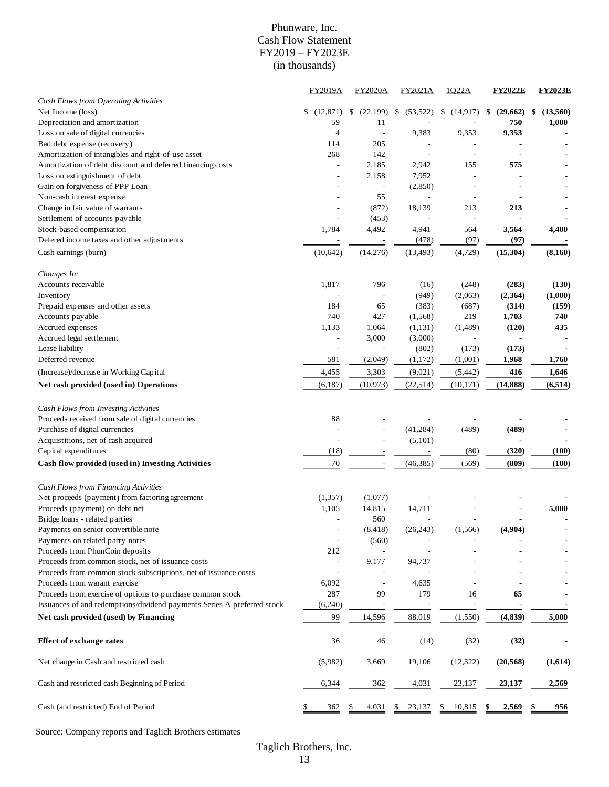# Phunware, Inc. Cash Flow Statement FY2019 – FY2023E (in thousands)

|                                                                                                  | <b>FY2019A</b>  | <b>FY2020A</b>           | FY2021A         | 1022A                    | <b>FY2022E</b> | <b>FY2023E</b> |
|--------------------------------------------------------------------------------------------------|-----------------|--------------------------|-----------------|--------------------------|----------------|----------------|
| Cash Flows from Operating Activities                                                             |                 |                          |                 |                          |                |                |
| Net Income (loss)                                                                                | \$<br>(12, 871) | (22, 199)<br>\$          | (53, 522)<br>\$ | (14,917)<br>\$           | (29,662)<br>\$ | (13,560)<br>\$ |
| Depreciation and amortization                                                                    | 59              | 11                       |                 |                          | 750            | 1,000          |
| Loss on sale of digital currencies                                                               | 4               | $\overline{a}$           | 9,383           | 9,353                    | 9,353          |                |
| Bad debt expense (recovery)                                                                      | 114             | 205                      |                 |                          |                |                |
| Amortization of intangibles and right-of-use asset                                               | 268             | 142                      | ٠               | $\overline{\phantom{a}}$ |                |                |
| Amortization of debt discount and deferred financing costs                                       |                 | 2,185                    | 2,942           | 155                      | 575            |                |
| Loss on extinguishment of debt                                                                   |                 | 2,158                    | 7,952           |                          |                |                |
| Gain on forgiveness of PPP Loan                                                                  |                 | $\overline{a}$           | (2,850)         |                          |                |                |
| Non-cash interest expense                                                                        |                 | 55                       | ÷,              | $\overline{\phantom{a}}$ |                |                |
| Change in fair value of warrants                                                                 |                 | (872)                    | 18,139          | 213                      | 213            |                |
| Settlement of accounts payable                                                                   |                 | (453)                    |                 | $\overline{a}$           |                |                |
| Stock-based compensation                                                                         | 1,784           | 4,492                    | 4,941           | 564                      | 3,564          | 4,400          |
| Defered income taxes and other adjustments                                                       |                 |                          | (478)           | (97)                     | (97)           |                |
| Cash earnings (burn)                                                                             | (10,642)        | (14,276)                 | (13, 493)       | (4, 729)                 | (15, 304)      | (8,160)        |
| Changes In:                                                                                      |                 |                          |                 |                          |                |                |
| Accounts receivable                                                                              | 1,817           | 796                      | (16)            | (248)                    | (283)          | (130)          |
| Inventory                                                                                        |                 |                          | (949)           | (2,063)                  | (2,364)        | (1,000)        |
| Prepaid expenses and other assets                                                                | 184             | 65                       | (383)           | (687)                    | (314)          | (159)          |
| Accounts payable                                                                                 | 740             | 427                      | (1, 568)        | 219                      | 1,703          | 740            |
| Accrued expenses                                                                                 | 1,133           | 1,064                    | (1, 131)        | (1,489)                  | (120)          | 435            |
| Accrued legal settlement                                                                         |                 | 3,000                    | (3,000)         | $\overline{\phantom{a}}$ |                |                |
| Lease liability                                                                                  |                 |                          | (802)           | (173)                    | (173)          |                |
| Deferred revenue                                                                                 | 581             | (2,049)                  | (1,172)         | (1,001)                  | 1,968          | 1,760          |
|                                                                                                  |                 |                          |                 |                          |                |                |
| (Increase)/decrease in Working Capital                                                           | 4,455           | 3,303                    | (9,021)         | (5, 442)                 | 416            | 1,646          |
| Net cash provided (used in) Operations                                                           | (6,187)         | (10, 973)                | (22, 514)       | (10, 171)                | (14, 888)      | (6, 514)       |
| Cash Flows from Investing Activities                                                             |                 |                          |                 |                          |                |                |
| Proceeds received from sale of digital currencies                                                | 88              |                          |                 |                          |                |                |
| Purchase of digital currencies                                                                   |                 |                          | (41, 284)       | (489)                    | (489)          |                |
| Acquistitions, net of cash acquired                                                              | $\overline{a}$  | ÷,                       | (5,101)         |                          |                |                |
| Capital expenditures                                                                             | (18)            |                          |                 | (80)                     | (320)          | (100)          |
| Cash flow provided (used in) Investing Activities                                                | 70              | $\overline{\phantom{m}}$ | (46, 385)       | (569)                    | (809)          | (100)          |
| Cash Flows from Financing Activities                                                             |                 |                          |                 |                          |                |                |
| Net proceeds (payment) from factoring agreement                                                  | (1, 357)        | (1,077)                  |                 |                          |                |                |
| Proceeds (payment) on debt net                                                                   | 1,105           | 14,815                   | 14,711          |                          |                | 5,000          |
| Bridge loans - related parties                                                                   |                 | 560                      |                 |                          |                |                |
| Payments on senior convertible note                                                              |                 | (8, 418)                 | (26, 243)       | (1, 566)                 | (4,904)        |                |
| Payments on related party notes                                                                  | $\overline{a}$  | (560)                    |                 |                          |                |                |
| Proceeds from PhunCoin deposits                                                                  | 212             | $\overline{\phantom{a}}$ |                 |                          |                |                |
| Proceeds from common stock, net of issuance costs                                                |                 | 9,177                    | 94,737          |                          |                |                |
|                                                                                                  |                 |                          |                 |                          |                |                |
| Proceeds from common stock subscriptions, net of issuance costs<br>Proceeds from warant exercise |                 | $\overline{a}$           | 4,635           |                          |                |                |
|                                                                                                  | 6,092           |                          |                 |                          |                |                |
| Proceeds from exercise of options to purchase common stock                                       | 287             | 99                       | 179             | 16                       | 65             |                |
| Issuances of and redemptions/dividend payments Series A preferred stock                          | (6,240)         |                          |                 |                          |                |                |
| Net cash provided (used) by Financing                                                            | 99              | 14,596                   | 88,019          | (1, 550)                 | (4, 839)       | 5,000          |
| <b>Effect of exchange rates</b>                                                                  | 36              | 46                       | (14)            | (32)                     | (32)           |                |
| Net change in Cash and restricted cash                                                           | (5,982)         | 3,669                    | 19,106          | (12, 322)                | (20, 568)      | (1,614)        |
| Cash and restricted cash Beginning of Period                                                     | 6,344           | 362                      | 4,031           | 23,137                   | 23,137         | 2,569          |
| Cash (and restricted) End of Period                                                              | 362             | 4,031                    | 23,137          | 10,815<br>\$             | 2,569          | 956            |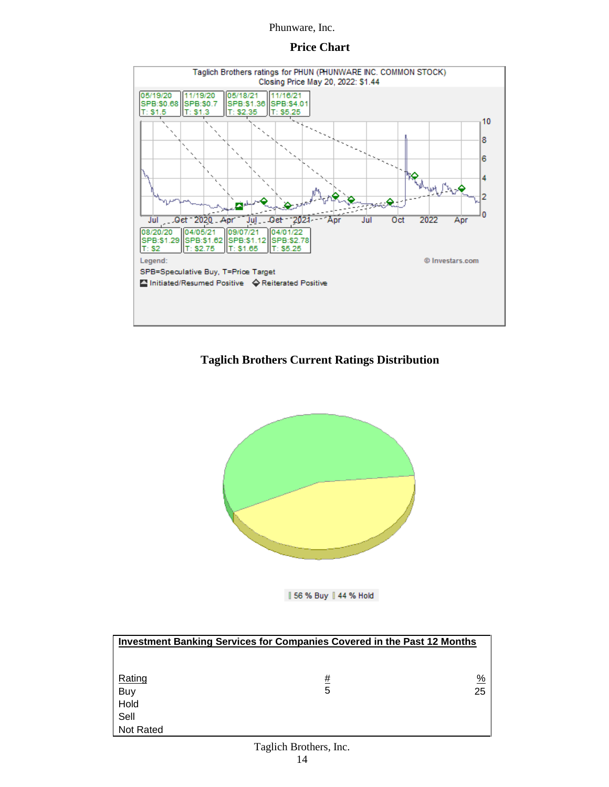# **Price Chart**



# **Taglich Brothers Current Ratings Distribution**



| 56 % Buy | 44 % Hold

| <b>Investment Banking Services for Companies Covered in the Past 12 Months</b> |   |    |  |  |  |  |  |
|--------------------------------------------------------------------------------|---|----|--|--|--|--|--|
|                                                                                |   |    |  |  |  |  |  |
|                                                                                |   |    |  |  |  |  |  |
| Rating                                                                         | # | %  |  |  |  |  |  |
| Buy                                                                            | 5 | 25 |  |  |  |  |  |
| Hold                                                                           |   |    |  |  |  |  |  |
| Sell                                                                           |   |    |  |  |  |  |  |
| <b>Not Rated</b>                                                               |   |    |  |  |  |  |  |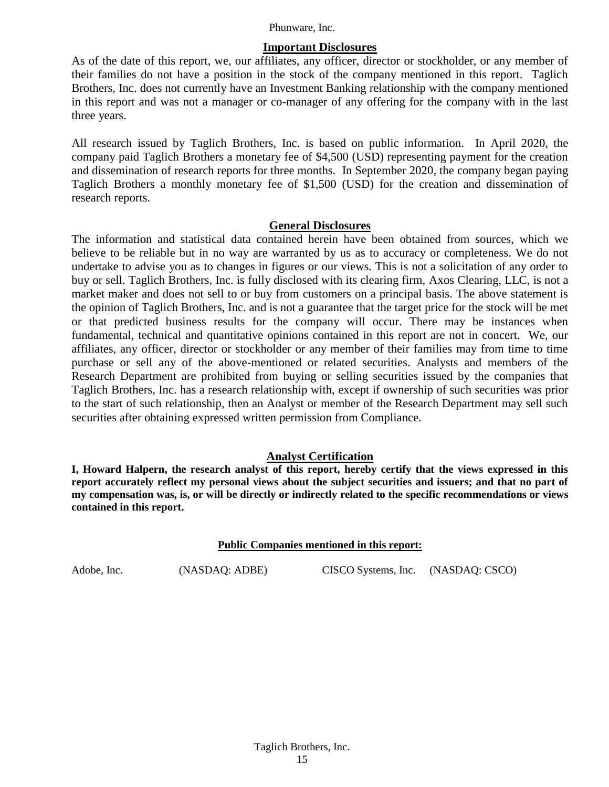# **Important Disclosures**

As of the date of this report, we, our affiliates, any officer, director or stockholder, or any member of their families do not have a position in the stock of the company mentioned in this report. Taglich Brothers, Inc. does not currently have an Investment Banking relationship with the company mentioned in this report and was not a manager or co-manager of any offering for the company with in the last three years.

All research issued by Taglich Brothers, Inc. is based on public information. In April 2020, the company paid Taglich Brothers a monetary fee of \$4,500 (USD) representing payment for the creation and dissemination of research reports for three months. In September 2020, the company began paying Taglich Brothers a monthly monetary fee of \$1,500 (USD) for the creation and dissemination of research reports.

# **General Disclosures**

The information and statistical data contained herein have been obtained from sources, which we believe to be reliable but in no way are warranted by us as to accuracy or completeness. We do not undertake to advise you as to changes in figures or our views. This is not a solicitation of any order to buy or sell. Taglich Brothers, Inc. is fully disclosed with its clearing firm, Axos Clearing, LLC, is not a market maker and does not sell to or buy from customers on a principal basis. The above statement is the opinion of Taglich Brothers, Inc. and is not a guarantee that the target price for the stock will be met or that predicted business results for the company will occur. There may be instances when fundamental, technical and quantitative opinions contained in this report are not in concert. We, our affiliates, any officer, director or stockholder or any member of their families may from time to time purchase or sell any of the above-mentioned or related securities. Analysts and members of the Research Department are prohibited from buying or selling securities issued by the companies that Taglich Brothers, Inc. has a research relationship with, except if ownership of such securities was prior to the start of such relationship, then an Analyst or member of the Research Department may sell such securities after obtaining expressed written permission from Compliance.

# **Analyst Certification**

**I, Howard Halpern, the research analyst of this report, hereby certify that the views expressed in this report accurately reflect my personal views about the subject securities and issuers; and that no part of my compensation was, is, or will be directly or indirectly related to the specific recommendations or views contained in this report.**

#### **Public Companies mentioned in this report:**

Adobe, Inc. (NASDAQ: ADBE) CISCO Systems, Inc. (NASDAQ: CSCO)